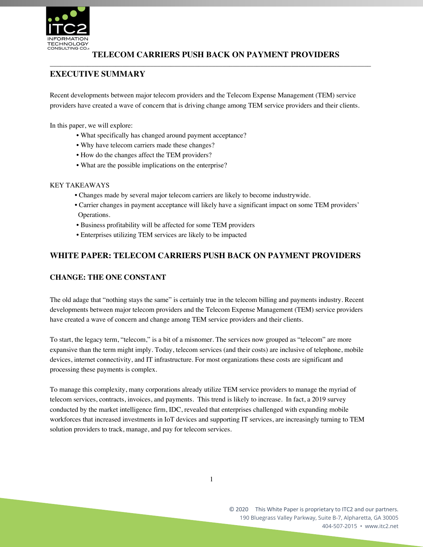

# **TELECOM CARRIERS PUSH BACK ON PAYMENT PROVIDERS**

\_\_\_\_\_\_\_\_\_\_\_\_\_\_\_\_\_\_\_\_\_\_\_\_\_\_\_\_\_\_\_\_\_\_\_\_\_\_\_\_\_\_\_\_\_\_\_\_\_\_\_\_\_\_\_\_\_\_\_\_\_\_\_\_\_\_\_\_\_\_\_\_\_\_\_\_\_\_\_\_\_\_\_\_\_\_\_\_\_\_\_\_\_

# **EXECUTIVE SUMMARY**

Recent developments between major telecom providers and the Telecom Expense Management (TEM) service providers have created a wave of concern that is driving change among TEM service providers and their clients.

In this paper, we will explore:

- What specifically has changed around payment acceptance?
- Why have telecom carriers made these changes?
- How do the changes affect the TEM providers?
- What are the possible implications on the enterprise?

### KEY TAKEAWAYS

- Changes made by several major telecom carriers are likely to become industrywide.
- Carrier changes in payment acceptance will likely have a significant impact on some TEM providers' Operations.
- Business profitability will be affected for some TEM providers
- Enterprises utilizing TEM services are likely to be impacted

### **WHITE PAPER: TELECOM CARRIERS PUSH BACK ON PAYMENT PROVIDERS**

### **CHANGE: THE ONE CONSTANT**

The old adage that "nothing stays the same" is certainly true in the telecom billing and payments industry. Recent developments between major telecom providers and the Telecom Expense Management (TEM) service providers have created a wave of concern and change among TEM service providers and their clients.

To start, the legacy term, "telecom," is a bit of a misnomer. The services now grouped as "telecom" are more expansive than the term might imply. Today, telecom services (and their costs) are inclusive of telephone, mobile devices, internet connectivity, and IT infrastructure. For most organizations these costs are significant and processing these payments is complex.

To manage this complexity, many corporations already utilize TEM service providers to manage the myriad of telecom services, contracts, invoices, and payments. This trend is likely to increase. In fact, a 2019 survey conducted by the market intelligence firm, IDC, revealed that enterprises challenged with expanding mobile workforces that increased investments in IoT devices and supporting IT services, are increasingly turning to TEM solution providers to track, manage, and pay for telecom services.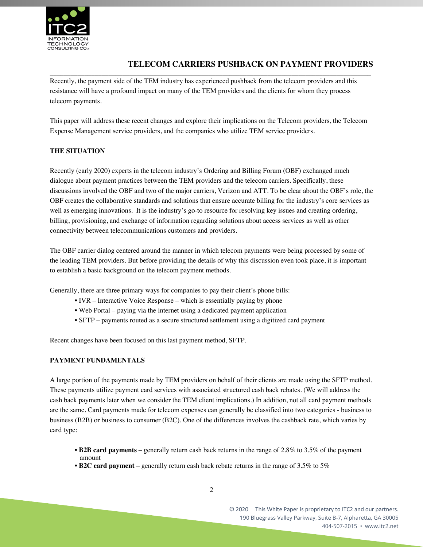

# **TELECOM CARRIERS PUSHBACK ON PAYMENT PROVIDERS**

\_\_\_\_\_\_\_\_\_\_\_\_\_\_\_\_\_\_\_\_\_\_\_\_\_\_\_\_\_\_\_\_\_\_\_\_\_\_\_\_\_\_\_\_\_\_\_\_\_\_\_\_\_\_\_\_\_\_\_\_\_\_\_\_\_\_\_\_\_\_\_\_\_\_\_\_\_\_\_\_\_\_\_\_\_\_\_\_\_\_\_\_\_ Recently, the payment side of the TEM industry has experienced pushback from the telecom providers and this resistance will have a profound impact on many of the TEM providers and the clients for whom they process telecom payments.

This paper will address these recent changes and explore their implications on the Telecom providers, the Telecom Expense Management service providers, and the companies who utilize TEM service providers.

### **THE SITUATION**

Recently (early 2020) experts in the telecom industry's Ordering and Billing Forum (OBF) exchanged much dialogue about payment practices between the TEM providers and the telecom carriers. Specifically, these discussions involved the OBF and two of the major carriers, Verizon and ATT. To be clear about the OBF's role, the OBF creates the collaborative standards and solutions that ensure accurate billing for the industry's core services as well as emerging innovations. It is the industry's go-to resource for resolving key issues and creating ordering, billing, provisioning, and exchange of information regarding solutions about access services as well as other connectivity between telecommunications customers and providers.

The OBF carrier dialog centered around the manner in which telecom payments were being processed by some of the leading TEM providers. But before providing the details of why this discussion even took place, it is important to establish a basic background on the telecom payment methods.

Generally, there are three primary ways for companies to pay their client's phone bills:

- IVR Interactive Voice Response which is essentially paying by phone
- Web Portal paying via the internet using a dedicated payment application
- SFTP payments routed as a secure structured settlement using a digitized card payment

Recent changes have been focused on this last payment method, SFTP.

### **PAYMENT FUNDAMENTALS**

A large portion of the payments made by TEM providers on behalf of their clients are made using the SFTP method. These payments utilize payment card services with associated structured cash back rebates. (We will address the cash back payments later when we consider the TEM client implications.) In addition, not all card payment methods are the same. Card payments made for telecom expenses can generally be classified into two categories - business to business (B2B) or business to consumer (B2C). One of the differences involves the cashback rate, which varies by card type:

- **B2B card payments** generally return cash back returns in the range of 2.8% to 3.5% of the payment amount
- **B2C card payment** generally return cash back rebate returns in the range of 3.5% to 5%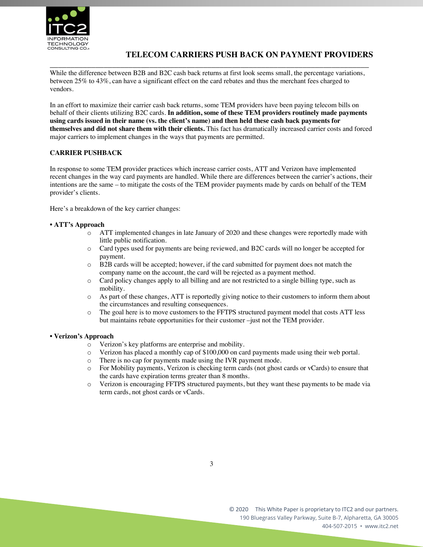

## **TELECOM CARRIERS PUSH BACK ON PAYMENT PROVIDERS**

\_\_\_\_\_\_\_\_\_\_\_\_\_\_\_\_\_\_\_\_\_\_\_\_\_\_\_\_\_\_\_\_\_\_\_\_\_\_\_\_\_\_\_\_\_\_\_\_\_\_\_\_\_\_\_\_\_\_\_\_\_\_\_\_\_\_\_\_\_\_\_\_\_\_\_\_\_ While the difference between B2B and B2C cash back returns at first look seems small, the percentage variations, between 25% to 43%, can have a significant effect on the card rebates and thus the merchant fees charged to vendors.

In an effort to maximize their carrier cash back returns, some TEM providers have been paying telecom bills on behalf of their clients utilizing B2C cards. **In addition, some of these TEM providers routinely made payments using cards issued in their name (vs. the client's name) and then held these cash back payments for themselves and did not share them with their clients.** This fact has dramatically increased carrier costs and forced major carriers to implement changes in the ways that payments are permitted.

### **CARRIER PUSHBACK**

In response to some TEM provider practices which increase carrier costs, ATT and Verizon have implemented recent changes in the way card payments are handled. While there are differences between the carrier's actions, their intentions are the same – to mitigate the costs of the TEM provider payments made by cards on behalf of the TEM provider's clients.

Here's a breakdown of the key carrier changes:

### **• ATT's Approach**

- o ATT implemented changes in late January of 2020 and these changes were reportedly made with little public notification.
- o Card types used for payments are being reviewed, and B2C cards will no longer be accepted for payment.
- o B2B cards will be accepted; however, if the card submitted for payment does not match the company name on the account, the card will be rejected as a payment method.
- o Card policy changes apply to all billing and are not restricted to a single billing type, such as mobility.
- o As part of these changes, ATT is reportedly giving notice to their customers to inform them about the circumstances and resulting consequences.
- o The goal here is to move customers to the FFTPS structured payment model that costs ATT less but maintains rebate opportunities for their customer –just not the TEM provider.

### **• Verizon's Approach**

- o Verizon's key platforms are enterprise and mobility.
- o Verizon has placed a monthly cap of \$100,000 on card payments made using their web portal.
- o There is no cap for payments made using the IVR payment mode.
- o For Mobility payments, Verizon is checking term cards (not ghost cards or vCards) to ensure that the cards have expiration terms greater than 8 months.
- o Verizon is encouraging FFTPS structured payments, but they want these payments to be made via term cards, not ghost cards or vCards.